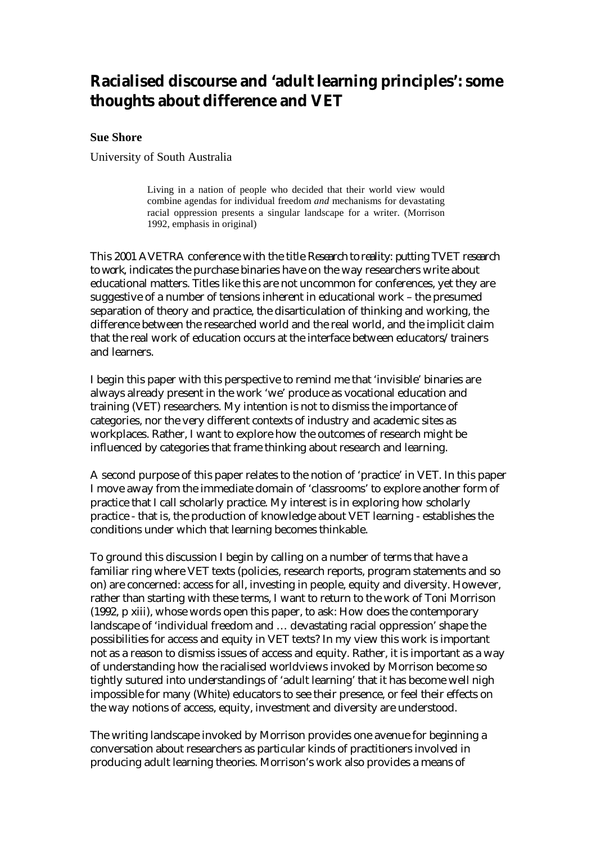# **Racialised discourse and 'adult learning principles': some thoughts about difference and VET**

#### **Sue Shore**

University of South Australia

Living in a nation of people who decided that their world view would combine agendas for individual freedom *and* mechanisms for devastating racial oppression presents a singular landscape for a writer. (Morrison 1992, emphasis in original)

This 2001 AVETRA conference with the title *Research to reality: putting TVET research to work*, indicates the purchase binaries have on the way researchers write about educational matters. Titles like this are not uncommon for conferences, yet they are suggestive of a number of tensions inherent in educational work – the presumed separation of theory and practice, the disarticulation of thinking and working, the difference between the researched world and the real world, and the implicit claim that the real work of education occurs at the interface between educators/trainers and learners.

I begin this paper with this perspective to remind me that 'invisible' binaries are always already present in the work 'we' produce as vocational education and training (VET) researchers. My intention is not to dismiss the importance of categories, nor the very different contexts of industry and academic sites as workplaces. Rather, I want to explore how the outcomes of research might be influenced by categories that frame thinking about research and learning.

A second purpose of this paper relates to the notion of 'practice' in VET. In this paper I move away from the immediate domain of 'classrooms' to explore another form of practice that I call scholarly practice. My interest is in exploring how scholarly practice - that is, the production of knowledge about VET learning - establishes the conditions under which that learning becomes thinkable.

To ground this discussion I begin by calling on a number of terms that have a familiar ring where VET texts (policies, research reports, program statements and so on) are concerned: access for all, investing in people, equity and diversity. However, rather than starting with these terms, I want to return to the work of Toni Morrison (1992, p xiii), whose words open this paper, to ask: How does the contemporary landscape of 'individual freedom and … devastating racial oppression' shape the possibilities for access and equity in VET texts? In my view this work is important not as a reason to dismiss issues of access and equity. Rather, it is important as a way of understanding how the racialised worldviews invoked by Morrison become so tightly sutured into understandings of 'adult learning' that it has become well nigh impossible for many (White) educators to see their presence, or feel their effects on the way notions of access, equity, investment and diversity are understood.

The writing landscape invoked by Morrison provides one avenue for beginning a conversation about researchers as particular kinds of practitioners involved in producing adult learning theories. Morrison's work also provides a means of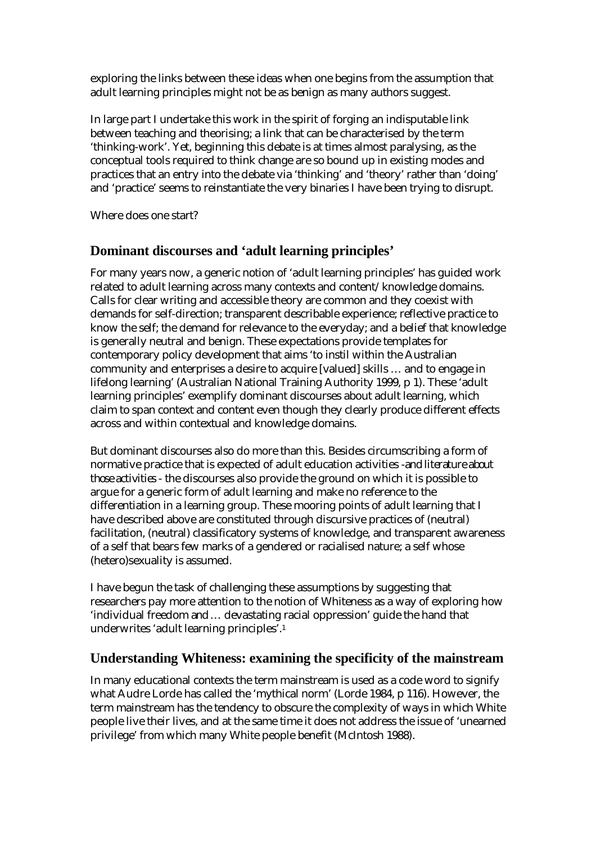exploring the links between these ideas when one begins from the assumption that adult learning principles might not be as benign as many authors suggest.

In large part I undertake this work in the spirit of forging an indisputable link between teaching and theorising; a link that can be characterised by the term 'thinking-work'. Yet, beginning this debate is at times almost paralysing, as the conceptual tools required to think change are so bound up in existing modes and practices that an entry into the debate via 'thinking' and 'theory' rather than 'doing' and 'practice' seems to reinstantiate the very binaries I have been trying to disrupt.

Where does one start?

# **Dominant discourses and 'adult learning principles'**

For many years now, a generic notion of 'adult learning principles' has guided work related to adult learning across many contexts and content/knowledge domains. Calls for clear writing and accessible theory are common and they coexist with demands for self-direction; transparent describable experience; reflective practice to know the self; the demand for relevance to the everyday; and a belief that knowledge is generally neutral and benign. These expectations provide templates for contemporary policy development that aims 'to instil within the Australian community and enterprises a desire to acquire [valued] skills … and to engage in lifelong learning' (Australian National Training Authority 1999, p 1). These 'adult learning principles' exemplify dominant discourses about adult learning, which claim to span context and content even though they clearly produce different effects across and within contextual and knowledge domains.

But dominant discourses also do more than this. Besides circumscribing a form of normative practice that is expected of adult education activities -*and literature about those activities* - the discourses also provide the ground on which it is possible to argue for a generic form of adult learning and make no reference to the differentiation in a learning group. These mooring points of adult learning that I have described above are constituted through discursive practices of (neutral) facilitation, (neutral) classificatory systems of knowledge, and transparent awareness of a self that bears few marks of a gendered or racialised nature; a self whose (hetero)sexuality is assumed.

I have begun the task of challenging these assumptions by suggesting that researchers pay more attention to the notion of Whiteness as a way of exploring how 'individual freedom *and* … devastating racial oppression' guide the hand that underwrites 'adult learning principles'.1

## **Understanding Whiteness: examining the specificity of the mainstream**

In many educational contexts the term mainstream is used as a code word to signify what Audre Lorde has called the 'mythical norm' (Lorde 1984, p 116). However, the term mainstream has the tendency to obscure the complexity of ways in which White people live their lives, and at the same time it does not address the issue of 'unearned privilege' from which many White people benefit (McIntosh 1988).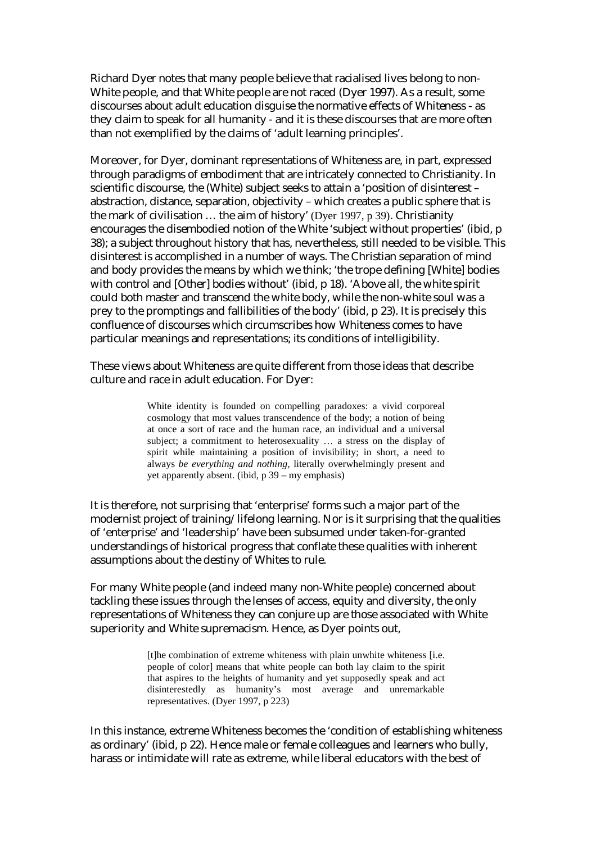Richard Dyer notes that many people believe that racialised lives belong to non-White people, and that White people are not raced (Dyer 1997). As a result, some discourses about adult education disguise the normative effects of Whiteness - as they claim to speak for all humanity - and it is these discourses that are more often than not exemplified by the claims of 'adult learning principles'.

Moreover, for Dyer, dominant representations of Whiteness are, in part, expressed through paradigms of embodiment that are intricately connected to Christianity. In scientific discourse, the (White) subject seeks to attain a 'position of disinterest – abstraction, distance, separation, objectivity – which creates a public sphere that is the mark of civilisation … the aim of history' (Dyer 1997, p 39). Christianity encourages the disembodied notion of the White 'subject without properties' (ibid, p 38); a subject throughout history that has, nevertheless, still needed to be visible. This disinterest is accomplished in a number of ways. The Christian separation of mind and body provides the means by which we think; 'the trope defining [White] bodies with control and [Other] bodies without' (ibid, p 18). 'Above all, the white spirit could both master and transcend the white body, while the non-white soul was a prey to the promptings and fallibilities of the body' (ibid, p 23). It is precisely this confluence of discourses which circumscribes how Whiteness comes to have particular meanings and representations; its conditions of intelligibility.

These views about Whiteness are quite different from those ideas that describe culture and race in adult education. For Dyer:

> White identity is founded on compelling paradoxes: a vivid corporeal cosmology that most values transcendence of the body; a notion of being at once a sort of race and the human race, an individual and a universal subject; a commitment to heterosexuality … a stress on the display of spirit while maintaining a position of invisibility; in short, a need to always *be everything and nothing,* literally overwhelmingly present and yet apparently absent. (ibid, p 39 – my emphasis)

It is therefore, not surprising that 'enterprise' forms such a major part of the modernist project of training/lifelong learning. Nor is it surprising that the qualities of 'enterprise' and 'leadership' have been subsumed under taken-for-granted understandings of historical progress that conflate these qualities with inherent assumptions about the destiny of Whites to rule.

For many White people (and indeed many non-White people) concerned about tackling these issues through the lenses of access, equity and diversity, the only representations of Whiteness they can conjure up are those associated with White superiority and White supremacism. Hence, as Dyer points out,

> [t]he combination of extreme whiteness with plain unwhite whiteness [i.e. people of color] means that white people can both lay claim to the spirit that aspires to the heights of humanity and yet supposedly speak and act disinterestedly as humanity's most average and unremarkable representatives. (Dyer 1997, p 223)

In this instance, extreme Whiteness becomes the 'condition of establishing whiteness as ordinary' (ibid, p 22). Hence male or female colleagues and learners who bully, harass or intimidate will rate as extreme, while liberal educators with the best of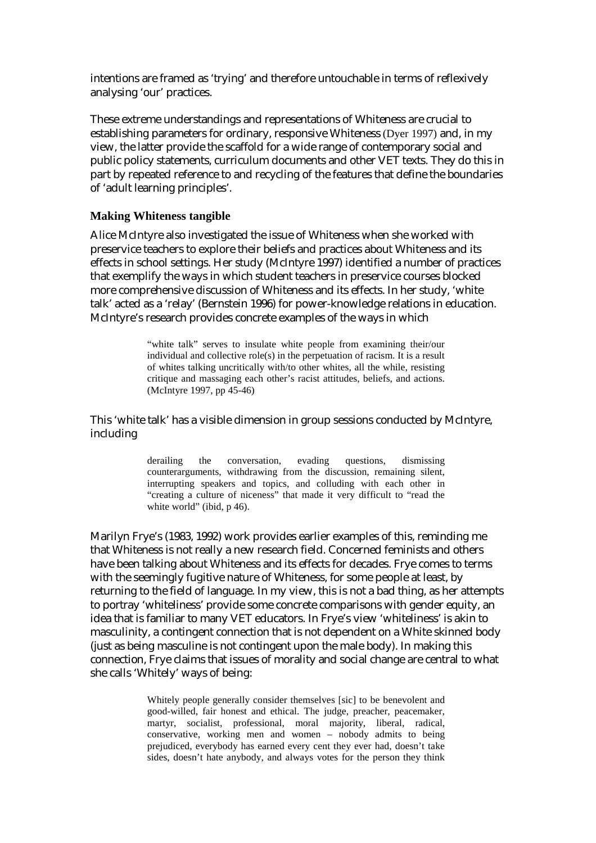intentions are framed as 'trying' and therefore untouchable in terms of reflexively analysing 'our' practices.

These extreme understandings and representations of Whiteness are crucial to establishing parameters for ordinary, responsive Whiteness (Dyer 1997) and, in my view, the latter provide the scaffold for a wide range of contemporary social and public policy statements, curriculum documents and other VET texts. They do this in part by repeated reference to and recycling of the features that define the boundaries of 'adult learning principles'.

#### **Making Whiteness tangible**

Alice McIntyre also investigated the issue of Whiteness when she worked with preservice teachers to explore their beliefs and practices about Whiteness and its effects in school settings. Her study (McIntyre 1997) identified a number of practices that exemplify the ways in which student teachers in preservice courses blocked more comprehensive discussion of Whiteness and its effects. In her study, 'white talk' acted as a 'relay' (Bernstein 1996) for power-knowledge relations in education. McIntyre's research provides concrete examples of the ways in which

> "white talk" serves to insulate white people from examining their/our individual and collective role(s) in the perpetuation of racism. It is a result of whites talking uncritically with/to other whites, all the while, resisting critique and massaging each other's racist attitudes, beliefs, and actions. (McIntyre 1997, pp 45-46)

#### This 'white talk' has a visible dimension in group sessions conducted by McIntyre, including

derailing the conversation, evading questions, dismissing counterarguments, withdrawing from the discussion, remaining silent, interrupting speakers and topics, and colluding with each other in "creating a culture of niceness" that made it very difficult to "read the white world" (ibid, p 46).

Marilyn Frye's (1983, 1992) work provides earlier examples of this, reminding me that Whiteness is not really a new research field. Concerned feminists and others have been talking about Whiteness and its effects for decades. Frye comes to terms with the seemingly fugitive nature of Whiteness, for some people at least, by returning to the field of language. In my view, this is not a bad thing, as her attempts to portray 'whiteliness' provide some concrete comparisons with gender equity, an idea that is familiar to many VET educators. In Frye's view 'whiteliness' is akin to masculinity, a contingent connection that is not dependent on a White skinned body (just as being masculine is not contingent upon the male body). In making this connection, Frye claims that issues of morality and social change are central to what she calls 'Whitely' ways of being:

> Whitely people generally consider themselves [sic] to be benevolent and good-willed, fair honest and ethical. The judge, preacher, peacemaker, martyr, socialist, professional, moral majority, liberal, radical, conservative, working men and women – nobody admits to being prejudiced, everybody has earned every cent they ever had, doesn't take sides, doesn't hate anybody, and always votes for the person they think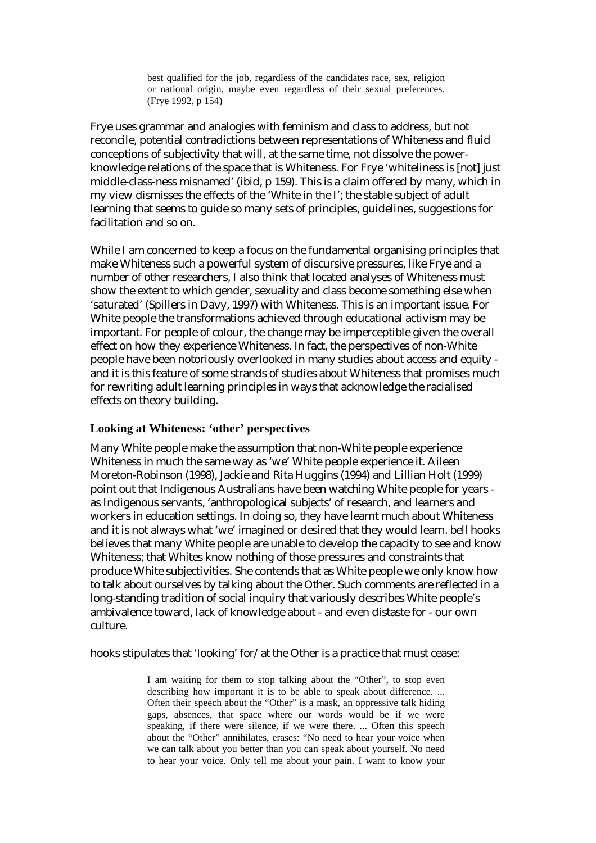best qualified for the job, regardless of the candidates race, sex, religion or national origin, maybe even regardless of their sexual preferences. (Frye 1992, p 154)

Frye uses grammar and analogies with feminism and class to address, but not reconcile, potential contradictions between representations of Whiteness and fluid conceptions of subjectivity that will, at the same time, not dissolve the powerknowledge relations of the space that is Whiteness. For Frye 'whiteliness is [not] just middle-class-ness misnamed' (ibid, p 159). This is a claim offered by many, which in my view dismisses the effects of the 'White in the I'; the stable subject of adult learning that seems to guide so many sets of principles, guidelines, suggestions for facilitation and so on.

While I am concerned to keep a focus on the fundamental organising principles that make Whiteness such a powerful system of discursive pressures, like Frye and a number of other researchers, I also think that located analyses of Whiteness must show the extent to which gender, sexuality and class become something else when 'saturated' (Spillers in Davy, 1997) with Whiteness. This is an important issue. For White people the transformations achieved through educational activism may be important. For people of colour, the change may be imperceptible given the overall effect on how they experience Whiteness. In fact, the perspectives of non-White people have been notoriously overlooked in many studies about access and equity and it is this feature of some strands of studies about Whiteness that promises much for rewriting adult learning principles in ways that acknowledge the racialised effects on theory building.

#### **Looking at Whiteness: 'other' perspectives**

Many White people make the assumption that non-White people experience Whiteness in much the same way as 'we' White people experience it. Aileen Moreton-Robinson (1998), Jackie and Rita Huggins (1994) and Lillian Holt (1999) point out that Indigenous Australians have been watching White people for years as Indigenous servants, 'anthropological subjects' of research, and learners and workers in education settings. In doing so, they have learnt much about Whiteness and it is not always what 'we' imagined or desired that they would learn. bell hooks believes that many White people are unable to develop the capacity to see and know Whiteness; that Whites know nothing of those pressures and constraints that produce White subjectivities. She contends that as White people we only know how to talk about ourselves by talking about the Other. Such comments are reflected in a long-standing tradition of social inquiry that variously describes White people's ambivalence toward, lack of knowledge about - and even distaste for - our own culture.

hooks stipulates that 'looking' for/at the Other is a practice that must cease:

I am waiting for them to stop talking about the "Other", to stop even describing how important it is to be able to speak about difference. ... Often their speech about the "Other" is a mask, an oppressive talk hiding gaps, absences, that space where our words would be if we were speaking, if there were silence, if we were there. ... Often this speech about the "Other" annihilates, erases: "No need to hear your voice when we can talk about you better than you can speak about yourself. No need to hear your voice. Only tell me about your pain. I want to know your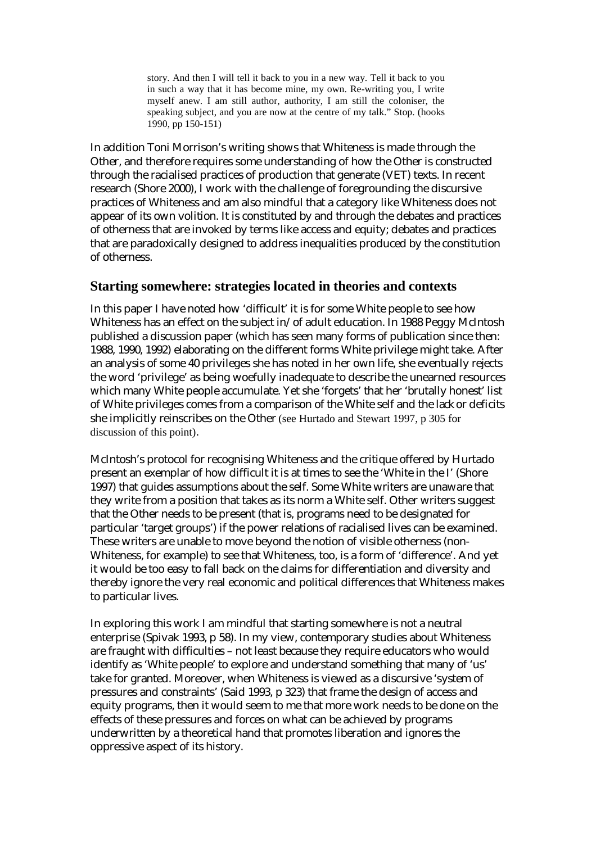story. And then I will tell it back to you in a new way. Tell it back to you in such a way that it has become mine, my own. Re-writing you, I write myself anew. I am still author, authority, I am still the coloniser, the speaking subject, and you are now at the centre of my talk." Stop. (hooks 1990, pp 150-151)

In addition Toni Morrison's writing shows that Whiteness is made through the Other, and therefore requires some understanding of how the Other is constructed through the racialised practices of production that generate (VET) texts. In recent research (Shore 2000), I work with the challenge of foregrounding the discursive practices of Whiteness and am also mindful that a category like Whiteness does not appear of its own volition. It is constituted by and through the debates and practices of otherness that are invoked by terms like access and equity; debates and practices that are paradoxically designed to address inequalities produced by the constitution of otherness.

## **Starting somewhere: strategies located in theories and contexts**

In this paper I have noted how 'difficult' it is for some White people to see how Whiteness has an effect on the subject in/of adult education. In 1988 Peggy McIntosh published a discussion paper (which has seen many forms of publication since then: 1988, 1990, 1992) elaborating on the different forms White privilege might take. After an analysis of some 40 privileges she has noted in her own life, she eventually rejects the word 'privilege' as being woefully inadequate to describe the unearned resources which many White people accumulate. Yet she 'forgets' that her 'brutally honest' list of White privileges comes from a comparison of the White self and the *lack* or deficits she implicitly reinscribes on the Other (see Hurtado and Stewart 1997, p 305 for discussion of this point).

McIntosh's protocol for recognising Whiteness and the critique offered by Hurtado present an exemplar of how difficult it is at times to see the 'White in the I' (Shore 1997) that guides assumptions about the self. Some White writers are unaware that they write from a position that takes as its norm a White self. Other writers suggest that the Other needs to be present (that is, programs need to be designated for particular 'target groups') if the power relations of racialised lives can be examined. These writers are unable to move beyond the notion of visible otherness (non-Whiteness, for example) to see that Whiteness, too, is a form of 'difference'. And yet it would be too easy to fall back on the claims for differentiation and diversity and thereby ignore the very real economic and political differences that Whiteness makes to particular lives.

In exploring this work I am mindful that starting somewhere is not a neutral enterprise (Spivak 1993, p 58). In my view, contemporary studies about Whiteness are fraught with difficulties – not least because they require educators who would identify as 'White people' to explore and understand something that many of 'us' take for granted. Moreover, when Whiteness is viewed as a discursive 'system of pressures and constraints' (Said 1993, p 323) that frame the design of access and equity programs, then it would seem to me that more work needs to be done on the effects of these pressures and forces on what can be achieved by programs underwritten by a theoretical hand that promotes liberation and ignores the oppressive aspect of its history.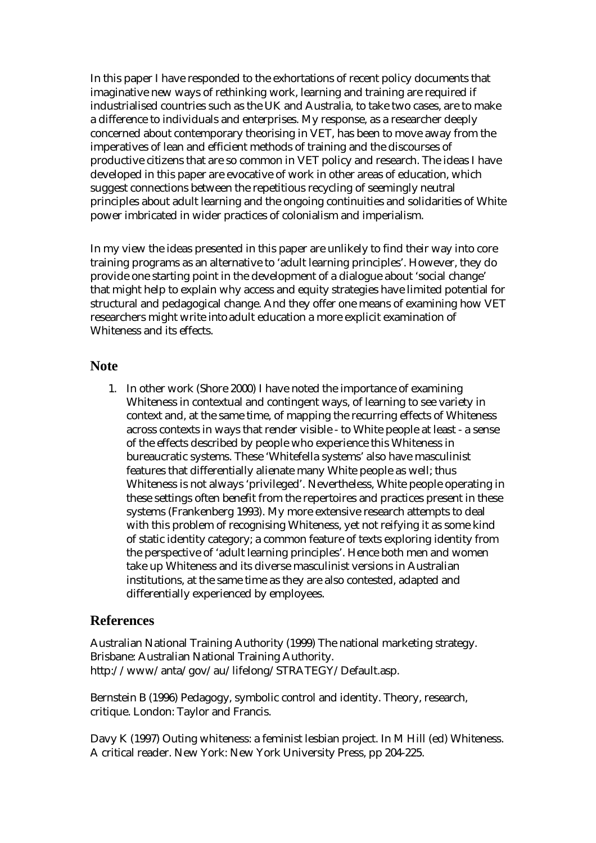In this paper I have responded to the exhortations of recent policy documents that imaginative new ways of rethinking work, learning and training are required if industrialised countries such as the UK and Australia, to take two cases, are to make a difference to individuals and enterprises. My response, as a researcher deeply concerned about contemporary theorising in VET, has been to move away from the imperatives of lean and efficient methods of training and the discourses of productive citizens that are so common in VET policy and research. The ideas I have developed in this paper are evocative of work in other areas of education, which suggest connections between the repetitious recycling of seemingly neutral principles about adult learning and the ongoing continuities and solidarities of White power imbricated in wider practices of colonialism and imperialism.

In my view the ideas presented in this paper are unlikely to find their way into core training programs as an alternative to 'adult learning principles'. However, they do provide one starting point in the development of a dialogue about 'social change' that might help to explain why access and equity strategies have limited potential for structural and pedagogical change. And they offer one means of examining how VET researchers might write *into* adult education a more explicit examination of Whiteness and its effects.

#### **Note**

1. In other work (Shore 2000) I have noted the importance of examining Whiteness in contextual and contingent ways, of learning to see variety in context and, at the same time, of mapping the recurring effects of Whiteness across contexts in ways that render visible - to White people at least - a sense of the effects described by people who experience this Whiteness in bureaucratic systems. These 'Whitefella systems' also have masculinist features that differentially alienate many White people as well; thus Whiteness is not always 'privileged'. Nevertheless, White people operating in these settings often benefit from the repertoires and practices present in these systems (Frankenberg 1993). My more extensive research attempts to deal with this problem of recognising Whiteness, yet not reifying it as some kind of static identity category; a common feature of texts exploring identity from the perspective of 'adult learning principles'. Hence both men and women take up Whiteness and its diverse masculinist versions in Australian institutions, at the same time as they are also contested, adapted and differentially experienced by employees.

## **References**

Australian National Training Authority (1999) The national marketing strategy. Brisbane: Australian National Training Authority. http://www/anta/gov/au/lifelong/STRATEGY/Default.asp.

Bernstein B (1996) Pedagogy, symbolic control and identity. Theory, research, critique. London: Taylor and Francis.

Davy K (1997) Outing whiteness: a feminist lesbian project. In M Hill (ed) Whiteness. A critical reader. New York: New York University Press, pp 204-225.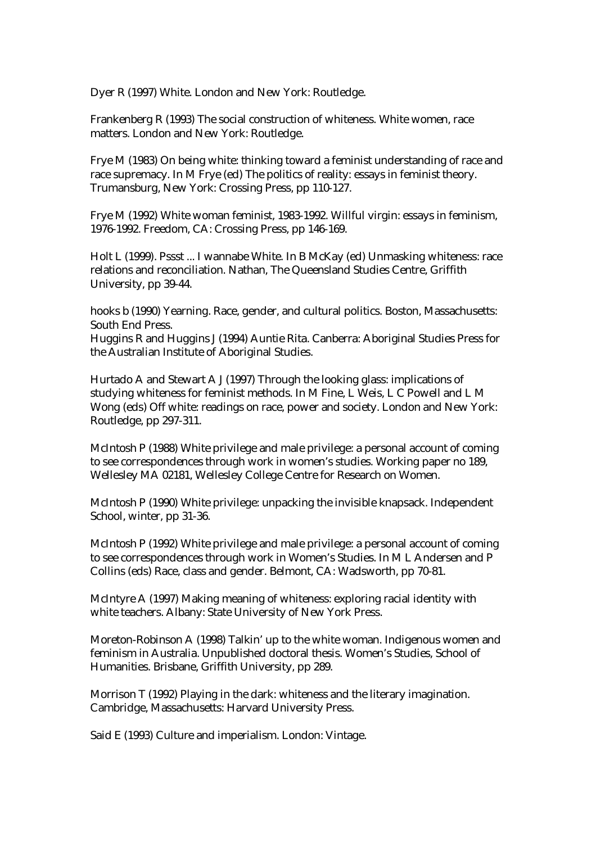Dyer R (1997) White. London and New York: Routledge.

Frankenberg R (1993) The social construction of whiteness. White women, race matters. London and New York: Routledge.

Frye M (1983) On being white: thinking toward a feminist understanding of race and race supremacy. In M Frye (ed) The politics of reality: essays in feminist theory. Trumansburg, New York: Crossing Press, pp 110-127.

Frye M (1992) White woman feminist, 1983-1992. Willful virgin: essays in feminism, 1976-1992. Freedom, CA: Crossing Press, pp 146-169.

Holt L (1999). Pssst ... I wannabe White. In B McKay (ed) Unmasking whiteness: race relations and reconciliation. Nathan, The Queensland Studies Centre, Griffith University, pp 39-44.

hooks b (1990) Yearning. Race, gender, and cultural politics. Boston, Massachusetts: South End Press.

Huggins R and Huggins J (1994) Auntie Rita. Canberra: Aboriginal Studies Press for the Australian Institute of Aboriginal Studies.

Hurtado A and Stewart A J (1997) Through the looking glass: implications of studying whiteness for feminist methods. In M Fine, L Weis, L C Powell and L M Wong (eds) Off white: readings on race, power and society. London and New York: Routledge, pp 297-311.

McIntosh P (1988) White privilege and male privilege: a personal account of coming to see correspondences through work in women's studies. Working paper no 189, Wellesley MA 02181, Wellesley College Centre for Research on Women.

McIntosh P (1990) White privilege: unpacking the invisible knapsack. Independent School, winter, pp 31-36.

McIntosh P (1992) White privilege and male privilege: a personal account of coming to see correspondences through work in Women's Studies. In M L Andersen and P Collins (eds) Race, class and gender. Belmont, CA: Wadsworth, pp 70-81.

McIntyre A (1997) Making meaning of whiteness: exploring racial identity with white teachers. Albany: State University of New York Press.

Moreton-Robinson A (1998) Talkin' up to the white woman. Indigenous women and feminism in Australia. Unpublished doctoral thesis. Women's Studies, School of Humanities. Brisbane, Griffith University, pp 289.

Morrison T (1992) Playing in the dark: whiteness and the literary imagination. Cambridge, Massachusetts: Harvard University Press.

Said E (1993) Culture and imperialism. London: Vintage.